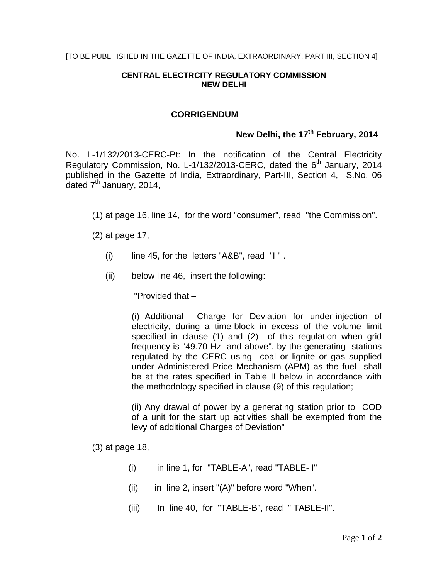## **CENTRAL ELECTRCITY REGULATORY COMMISSION NEW DELHI**

## **CORRIGENDUM**

## New Delhi, the 17<sup>th</sup> February, 2014

No. L-1/132/2013-CERC-Pt: In the notification of the Central Electricity Regulatory Commission, No. L-1/132/2013-CERC, dated the 6<sup>th</sup> January, 2014 published in the Gazette of India, Extraordinary, Part-III, Section 4, S.No. 06 dated  $7<sup>th</sup>$  January, 2014,

(1) at page 16, line 14, for the word "consumer", read "the Commission".

(2) at page 17,

- $(i)$  line 45, for the letters "A&B", read "I".
- (ii) below line 46, insert the following:

"Provided that –

(i) Additional Charge for Deviation for under-injection of electricity, during a time-block in excess of the volume limit specified in clause (1) and (2) of this regulation when grid frequency is "49.70 Hz and above", by the generating stations regulated by the CERC using coal or lignite or gas supplied under Administered Price Mechanism (APM) as the fuel shall be at the rates specified in Table II below in accordance with the methodology specified in clause (9) of this regulation;

(ii) Any drawal of power by a generating station prior to COD of a unit for the start up activities shall be exempted from the levy of additional Charges of Deviation"

(3) at page 18,

- (i) in line 1, for "TABLE-A", read "TABLE- I"
- $(ii)$  in line 2, insert " $(A)$ " before word "When".
- (iii) In line 40, for "TABLE-B", read " TABLE-II".